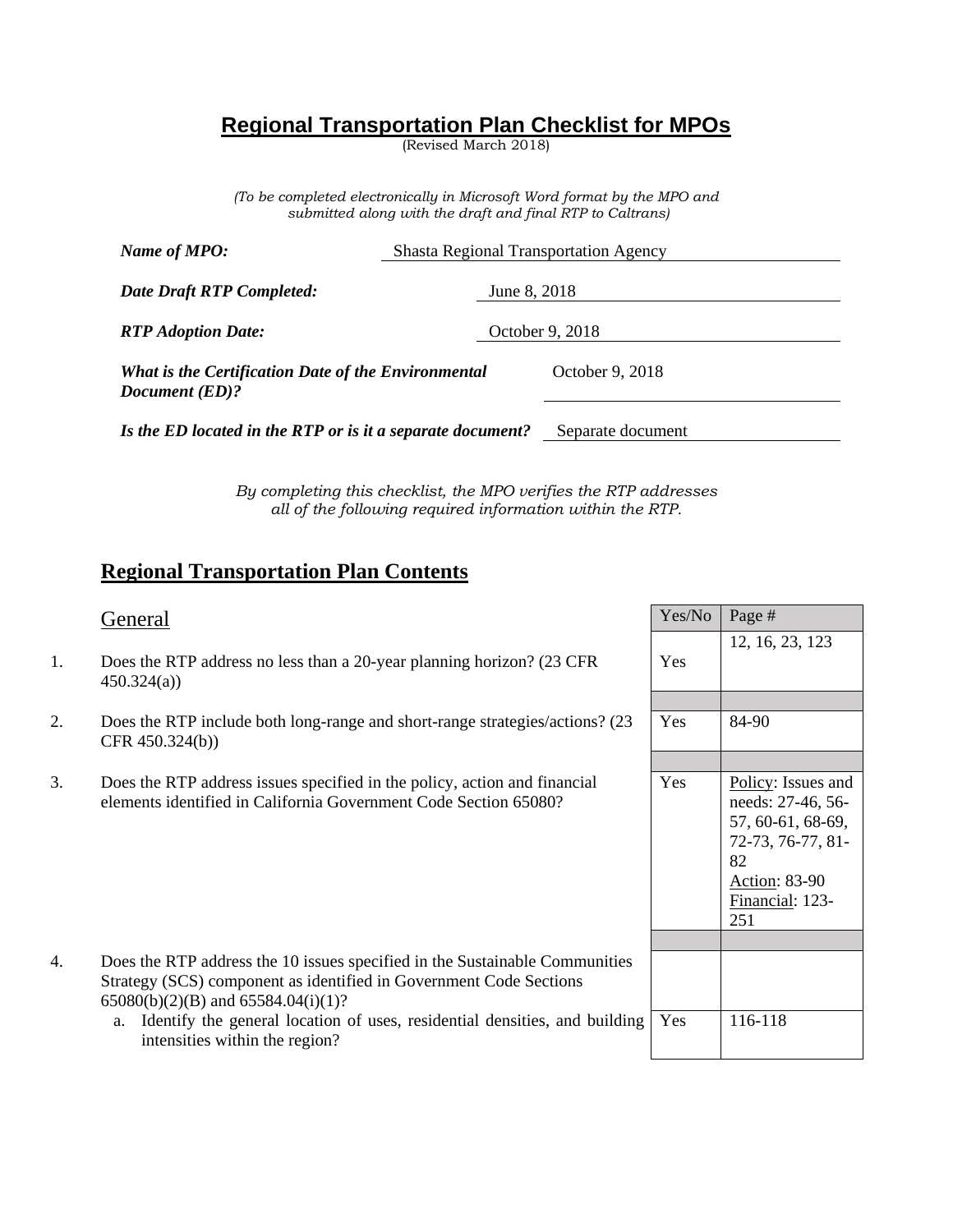# **Regional Transportation Plan Checklist for MPOs**

(Revised March 2018)

*(To be completed electronically in Microsoft Word format by the MPO and submitted along with the draft and final RTP to Caltrans)*

| Name of MPO:                                                          | <b>Shasta Regional Transportation Agency</b> |                   |  |
|-----------------------------------------------------------------------|----------------------------------------------|-------------------|--|
| Date Draft RTP Completed:                                             | June 8, 2018                                 |                   |  |
| <b>RTP</b> Adoption Date:                                             |                                              | October 9, 2018   |  |
| What is the Certification Date of the Environmental<br>Document (ED)? |                                              | October 9, 2018   |  |
| Is the ED located in the RTP or is it a separate document?            |                                              | Separate document |  |

*By completing this checklist, the MPO verifies the RTP addresses all of the following required information within the RTP.*

# **Regional Transportation Plan Contents**

- 1. Does the RTP address no less than a 20-year planning horizon? (23 CFR 450.324(a))
- 2. Does the RTP include both long-range and short-range strategies/actions? (23 CFR 450.324(b))
- 3. Does the RTP address issues specified in the policy, action and financial elements identified in California Government Code Section 65080?

| 4 | Does the RTP address the 10 issues specified in the Sustainable Communities |
|---|-----------------------------------------------------------------------------|
|   | Strategy (SCS) component as identified in Government Code Sections          |
|   | $65080(b)(2)(B)$ and $65584.04(i)(1)?$                                      |

| General                                                                                                                                                                                     | Yes/No | Page #                                                                                                                                    |
|---------------------------------------------------------------------------------------------------------------------------------------------------------------------------------------------|--------|-------------------------------------------------------------------------------------------------------------------------------------------|
| Does the RTP address no less than a 20-year planning horizon? (23 CFR)<br>450.324(a)                                                                                                        | Yes    | 12, 16, 23, 123                                                                                                                           |
|                                                                                                                                                                                             |        |                                                                                                                                           |
| Does the RTP include both long-range and short-range strategies/actions? (23)<br>CFR 450.324(b))                                                                                            | Yes    | 84-90                                                                                                                                     |
|                                                                                                                                                                                             |        |                                                                                                                                           |
| Does the RTP address issues specified in the policy, action and financial<br>elements identified in California Government Code Section 65080?                                               | Yes    | Policy: Issues and<br>needs: 27-46, 56-<br>57, 60-61, 68-69,<br>72-73, 76-77, 81-<br>82<br><b>Action: 83-90</b><br>Financial: 123-<br>251 |
|                                                                                                                                                                                             |        |                                                                                                                                           |
| Does the RTP address the 10 issues specified in the Sustainable Communities<br>Strategy (SCS) component as identified in Government Code Sections<br>$65080(b)(2)(B)$ and $65584.04(i)(1)?$ |        |                                                                                                                                           |
| a. Identify the general location of uses, residential densities, and building<br>intensities within the region?                                                                             | Yes    | 116-118                                                                                                                                   |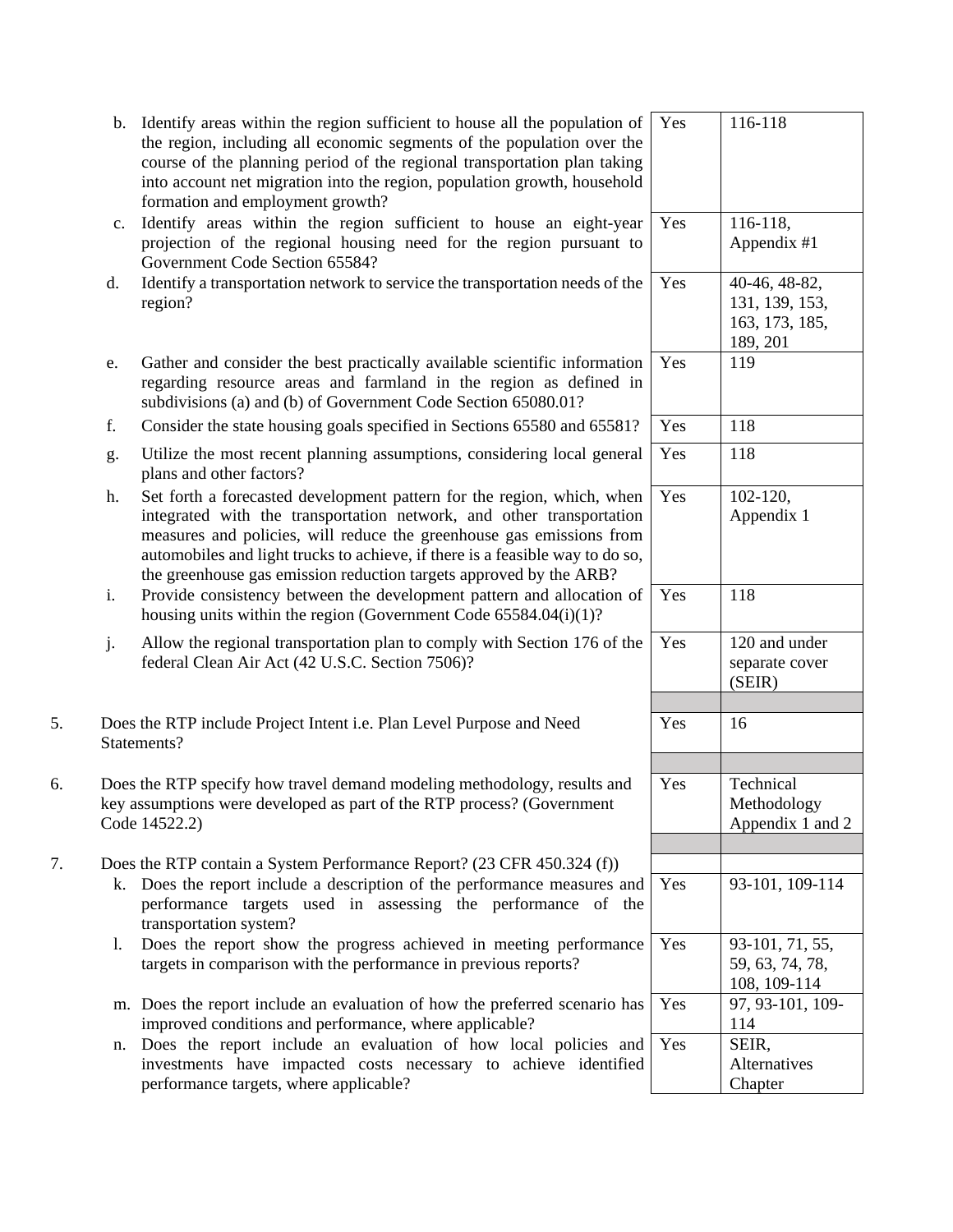|    |    | b. Identify areas within the region sufficient to house all the population of<br>the region, including all economic segments of the population over the<br>course of the planning period of the regional transportation plan taking<br>into account net migration into the region, population growth, household<br>formation and employment growth?                           | Yes | 116-118                                                       |
|----|----|-------------------------------------------------------------------------------------------------------------------------------------------------------------------------------------------------------------------------------------------------------------------------------------------------------------------------------------------------------------------------------|-----|---------------------------------------------------------------|
|    | c. | Identify areas within the region sufficient to house an eight-year<br>projection of the regional housing need for the region pursuant to<br>Government Code Section 65584?                                                                                                                                                                                                    | Yes | 116-118,<br>Appendix #1                                       |
|    | d. | Identify a transportation network to service the transportation needs of the<br>region?                                                                                                                                                                                                                                                                                       | Yes | 40-46, 48-82,<br>131, 139, 153,<br>163, 173, 185,<br>189, 201 |
|    | e. | Gather and consider the best practically available scientific information<br>regarding resource areas and farmland in the region as defined in<br>subdivisions (a) and (b) of Government Code Section 65080.01?                                                                                                                                                               | Yes | 119                                                           |
|    | f. | Consider the state housing goals specified in Sections 65580 and 65581?                                                                                                                                                                                                                                                                                                       | Yes | 118                                                           |
|    | g. | Utilize the most recent planning assumptions, considering local general<br>plans and other factors?                                                                                                                                                                                                                                                                           | Yes | 118                                                           |
|    | h. | Set forth a forecasted development pattern for the region, which, when<br>integrated with the transportation network, and other transportation<br>measures and policies, will reduce the greenhouse gas emissions from<br>automobiles and light trucks to achieve, if there is a feasible way to do so,<br>the greenhouse gas emission reduction targets approved by the ARB? | Yes | $102 - 120$ ,<br>Appendix 1                                   |
|    | i. | Provide consistency between the development pattern and allocation of<br>housing units within the region (Government Code $65584.04(i)(1)?$                                                                                                                                                                                                                                   | Yes | 118                                                           |
|    | j. | Allow the regional transportation plan to comply with Section 176 of the<br>federal Clean Air Act (42 U.S.C. Section 7506)?                                                                                                                                                                                                                                                   | Yes | 120 and under<br>separate cover<br>(SEIR)                     |
| 5. |    | Does the RTP include Project Intent i.e. Plan Level Purpose and Need<br>Statements?                                                                                                                                                                                                                                                                                           | Yes | 16                                                            |
| 6. |    | Does the RTP specify how travel demand modeling methodology, results and<br>key assumptions were developed as part of the RTP process? (Government<br>Code 14522.2)                                                                                                                                                                                                           | Yes | Technical<br>Methodology<br>Appendix 1 and 2                  |
| 7. |    | Does the RTP contain a System Performance Report? (23 CFR 450.324 (f))<br>k. Does the report include a description of the performance measures and<br>performance targets used in assessing the performance of the<br>transportation system?                                                                                                                                  | Yes | 93-101, 109-114                                               |
|    | 1. | Does the report show the progress achieved in meeting performance<br>targets in comparison with the performance in previous reports?                                                                                                                                                                                                                                          | Yes | 93-101, 71, 55,<br>59, 63, 74, 78,<br>108, 109-114            |
|    |    | m. Does the report include an evaluation of how the preferred scenario has<br>improved conditions and performance, where applicable?                                                                                                                                                                                                                                          | Yes | 97, 93-101, 109-<br>114                                       |
|    |    | n. Does the report include an evaluation of how local policies and<br>investments have impacted costs necessary to achieve identified<br>performance targets, where applicable?                                                                                                                                                                                               | Yes | SEIR,<br>Alternatives<br>Chapter                              |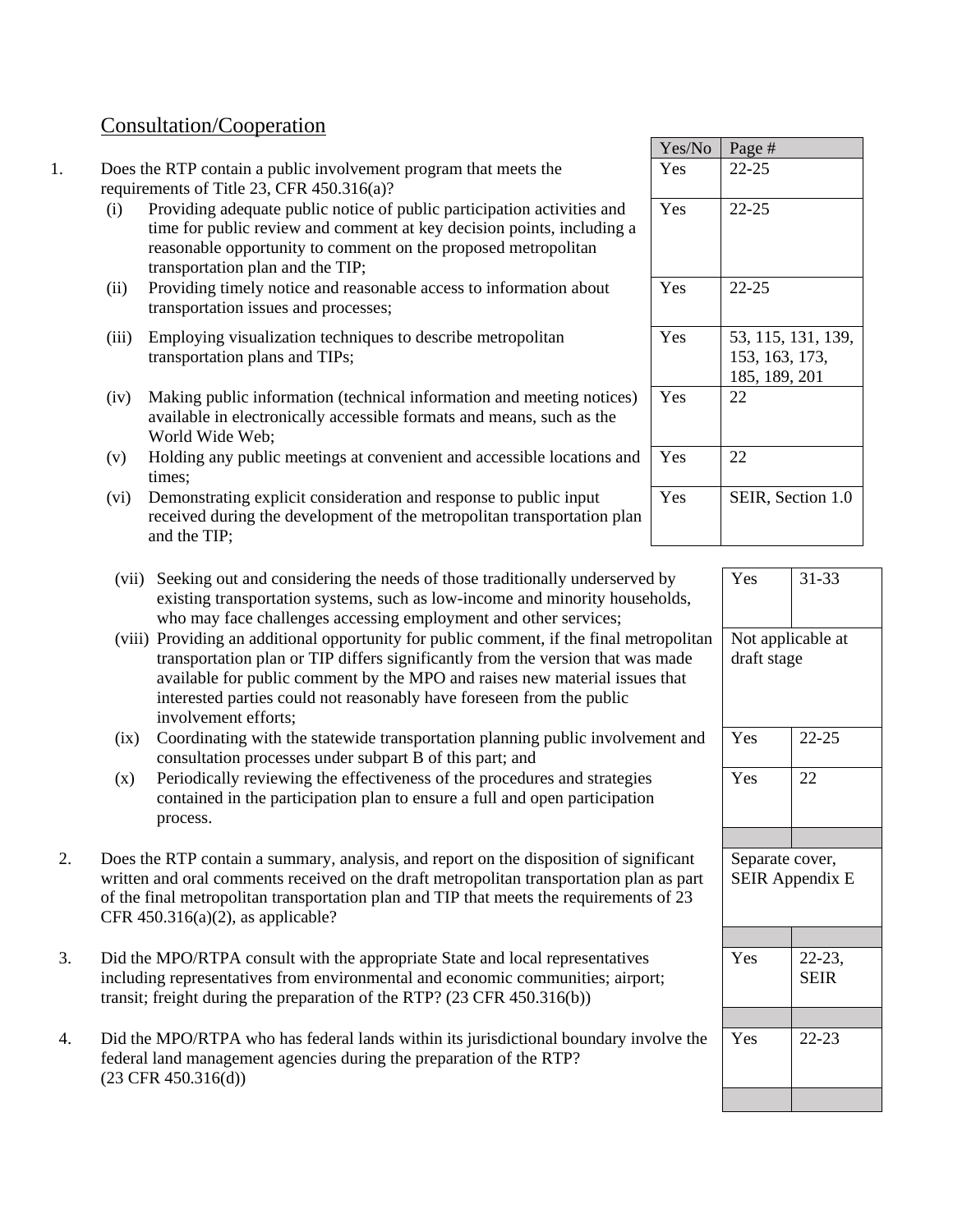# Consultation/Cooperation

- 1. Does the RTP contain a public involvement program that meets the requirements of Title 23, CFR 450.316(a)?
	- (i) Providing adequate public notice of public participation activities and time for public review and comment at key decision points, including a reasonable opportunity to comment on the proposed metropolitan transportation plan and the TIP;
	- (ii) Providing timely notice and reasonable access to information about transportation issues and processes;
	- (iii) Employing visualization techniques to describe metropolitan transportation plans and TIPs;
	- (iv) Making public information (technical information and meeting notices) available in electronically accessible formats and means, such as the World Wide Web;
	- (v) Holding any public meetings at convenient and accessible locations and times;
	- (vi) Demonstrating explicit consideration and response to public input received during the development of the metropolitan transportation plan and the TIP;
	- (vii) Seeking out and considering the needs of those traditionally underserved by existing transportation systems, such as low-income and minority households, who may face challenges accessing employment and other services;
	- (viii) Providing an additional opportunity for public comment, if the final metropolitan transportation plan or TIP differs significantly from the version that was made available for public comment by the MPO and raises new material issues that interested parties could not reasonably have foreseen from the public involvement efforts;
	- (ix) Coordinating with the statewide transportation planning public involvement and consultation processes under subpart B of this part; and
	- (x) Periodically reviewing the effectiveness of the procedures and strategies contained in the participation plan to ensure a full and open participation process.
- 2. Does the RTP contain a summary, analysis, and report on the disposition of significant written and oral comments received on the draft metropolitan transportation plan as part of the final metropolitan transportation plan and TIP that meets the requirements of 23 CFR  $450.316(a)(2)$ , as applicable?
- 3. Did the MPO/RTPA consult with the appropriate State and local representatives including representatives from environmental and economic communities; airport; transit; freight during the preparation of the RTP? (23 CFR 450.316(b))
- 4. Did the MPO/RTPA who has federal lands within its jurisdictional boundary involve the federal land management agencies during the preparation of the RTP? (23 CFR 450.316(d))

| Yes/No | Page #                                                |
|--------|-------------------------------------------------------|
| Yes    | $22 - 25$                                             |
| Yes    | $22 - 25$                                             |
| Yes    | 22-25                                                 |
| Yes    | 53, 115, 131, 139,<br>153, 163, 173,<br>185, 189, 201 |
| Yes    | 22                                                    |
| Yes    | 22                                                    |
| Yes    | SEIR, Section 1.0                                     |

| Yes                                       | $31 - 33$                  |  |
|-------------------------------------------|----------------------------|--|
| Not applicable at<br>draft stage          |                            |  |
| Yes                                       | $22 - 25$                  |  |
| Yes                                       | 22                         |  |
|                                           |                            |  |
| Separate cover,<br><b>SEIR Appendix E</b> |                            |  |
|                                           |                            |  |
| Yes                                       | $22 - 23$ ,<br><b>SEIR</b> |  |
|                                           |                            |  |
| Yes                                       | $22 - 23$                  |  |
|                                           |                            |  |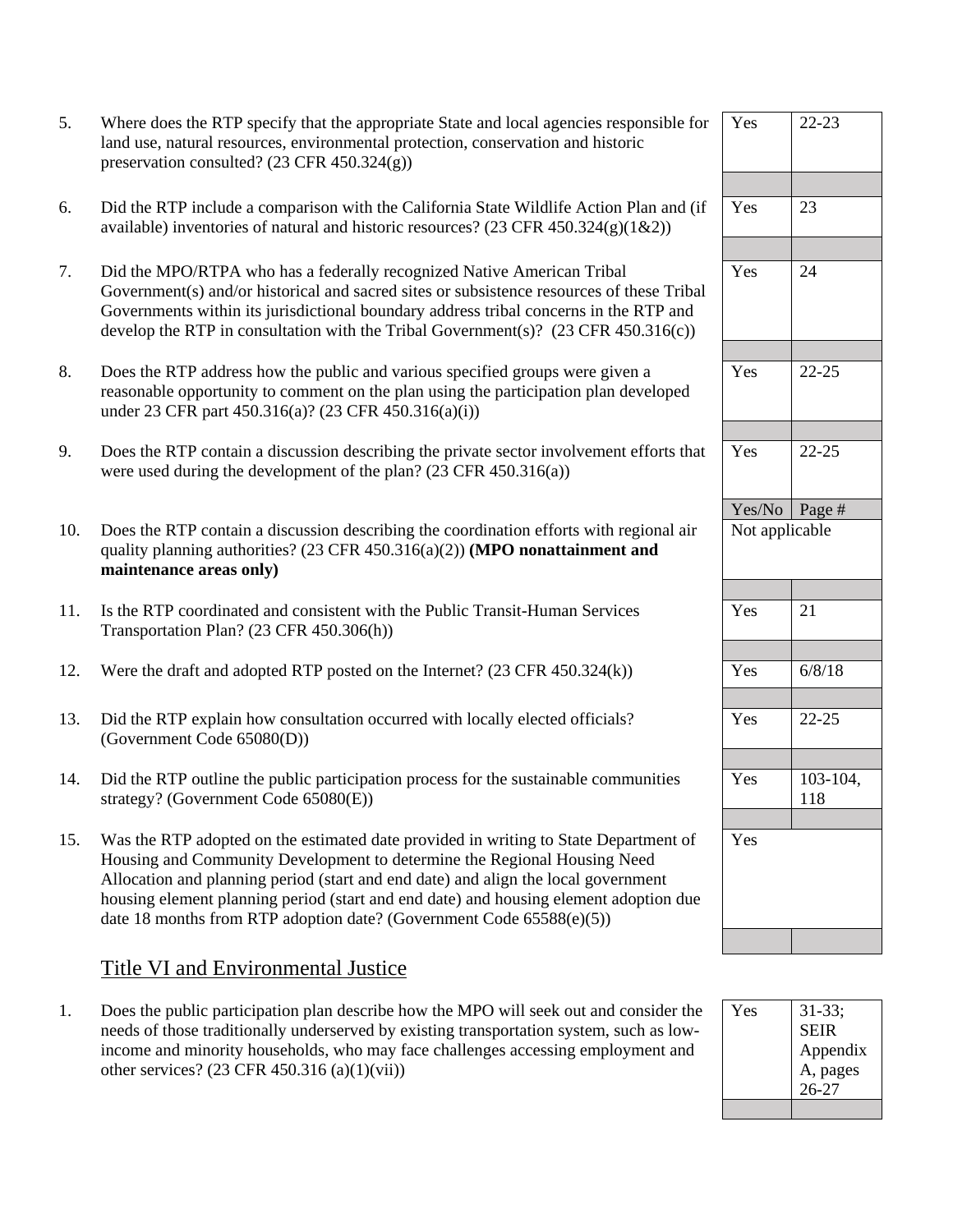| Where does the RTP specify that the appropriate State and local agencies responsible for |
|------------------------------------------------------------------------------------------|
| land use, natural resources, environmental protection, conservation and historic         |
| preservation consulted? $(23 \text{ CFR } 450.324(g))$                                   |

- 6. Did the RTP include a comparison with the California State Wildlife Action Plan and (if available) inventories of natural and historic resources? (23 CFR 450.324(g)(1&2))
- 7. Did the MPO/RTPA who has a federally recognized Native American Tribal Government(s) and/or historical and sacred sites or subsistence resources of these Tribal Governments within its jurisdictional boundary address tribal concerns in the RTP and develop the RTP in consultation with the Tribal Government(s)?  $(23 \text{ CFR } 450.316(c))$
- 8. Does the RTP address how the public and various specified groups were given a reasonable opportunity to comment on the plan using the participation plan developed under 23 CFR part 450.316(a)? (23 CFR 450.316(a)(i))
- 9. Does the RTP contain a discussion describing the private sector involvement efforts that were used during the development of the plan? (23 CFR 450.316(a))
- 10. Does the RTP contain a discussion describing the coordination efforts with regional air quality planning authorities? (23 CFR 450.316(a)(2)) **(MPO nonattainment and maintenance areas only)**
- 11. Is the RTP coordinated and consistent with the Public Transit-Human Services Transportation Plan? (23 CFR 450.306(h))
- 12. Were the draft and adopted RTP posted on the Internet?  $(23 \text{ CFR } 450.324(k))$
- 13. Did the RTP explain how consultation occurred with locally elected officials? (Government Code 65080(D))
- 14. Did the RTP outline the public participation process for the sustainable communities strategy? (Government Code 65080(E))
- 15. Was the RTP adopted on the estimated date provided in writing to State Department of Housing and Community Development to determine the Regional Housing Need Allocation and planning period (start and end date) and align the local government housing element planning period (start and end date) and housing element adoption due date 18 months from RTP adoption date? (Government Code 65588(e)(5))

# Title VI and Environmental Justice

1. Does the public participation plan describe how the MPO will seek out and consider the needs of those traditionally underserved by existing transportation system, such as lowincome and minority households, who may face challenges accessing employment and other services? (23 CFR 450.316 (a)(1)(vii))

| Yes            | $22 - 23$    |
|----------------|--------------|
|                |              |
|                |              |
|                |              |
|                |              |
| Yes            | 23           |
|                |              |
|                |              |
| Yes            | 24           |
|                |              |
|                |              |
|                |              |
|                |              |
|                |              |
| Yes            | $22 - 25$    |
|                |              |
|                |              |
|                |              |
|                |              |
| Yes            | $22 - 25$    |
|                |              |
|                |              |
| Yes/No Page #  |              |
|                |              |
| Not applicable |              |
|                |              |
|                |              |
|                |              |
|                |              |
| Yes            | 21           |
|                |              |
|                |              |
|                |              |
| Yes            | 6/8/18       |
|                |              |
| Yes            | $22 - 25$    |
|                |              |
|                |              |
|                |              |
| Yes            | $103 - 104,$ |
|                | 118          |
|                |              |
| Yes            |              |
|                |              |
|                |              |
|                |              |
|                |              |
|                |              |
|                |              |

| Yes | $31 - 33;$  |
|-----|-------------|
|     | <b>SEIR</b> |
|     | Appendix    |
|     | A, pages    |
|     | $26 - 27$   |
|     |             |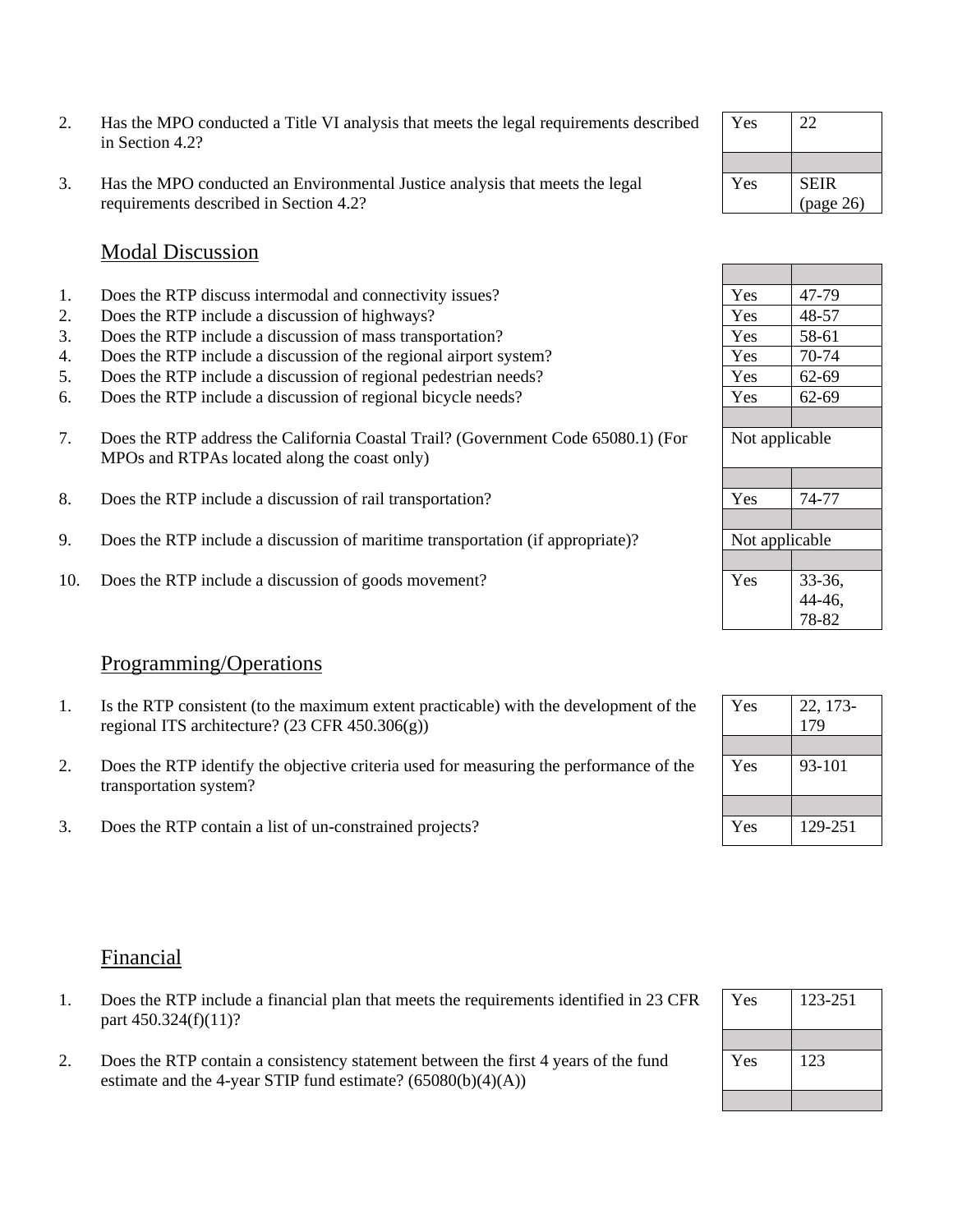- 2. Has the MPO conducted a Title VI analysis that meets the legal requirements described in Section 4.2?
- 3. Has the MPO conducted an Environmental Justice analysis that meets the legal requirements described in Section 4.2?

## Modal Discussion

- 1. Does the RTP discuss intermodal and connectivity issues?
- 2. Does the RTP include a discussion of highways?
- 3. Does the RTP include a discussion of mass transportation?
- 4. Does the RTP include a discussion of the regional airport system?
- 5. Does the RTP include a discussion of regional pedestrian needs?
- 6. Does the RTP include a discussion of regional bicycle needs?
- 7. Does the RTP address the California Coastal Trail? (Government Code 65080.1) (For MPOs and RTPAs located along the coast only)
- 8. Does the RTP include a discussion of rail transportation?
- 9. Does the RTP include a discussion of maritime transportation (if appropriate)?
- 10. Does the RTP include a discussion of goods movement?

## Programming/Operations

- 1. Is the RTP consistent (to the maximum extent practicable) with the development of the regional ITS architecture? (23 CFR 450.306(g))
- 2. Does the RTP identify the objective criteria used for measuring the performance of the transportation system?
- 3. Does the RTP contain a list of un-constrained projects?

## Financial

- 1. Does the RTP include a financial plan that meets the requirements identified in 23 CFR part 450.324(f)(11)?
- 2. Does the RTP contain a consistency statement between the first 4 years of the fund estimate and the 4-year STIP fund estimate?  $(65080(b)(4)(A))$

| Yes | 22          |
|-----|-------------|
|     |             |
| Yes | <b>SEIR</b> |
|     | (page 26)   |

| 47-79          |  |
|----------------|--|
| 48-57          |  |
| 58-61          |  |
| 70-74          |  |
| 62-69          |  |
| 62-69          |  |
|                |  |
| Not applicable |  |
|                |  |
|                |  |
| 74-77          |  |
|                |  |
| Not applicable |  |
|                |  |
|                |  |
| 33-36,         |  |
| 44-46,         |  |
|                |  |
|                |  |

| Yes | 22, 173-<br>179 |
|-----|-----------------|
| Yes | 93-101          |
| Yes | 129-251         |

| Yes | 123-251 |
|-----|---------|
| Yes | 123     |
|     |         |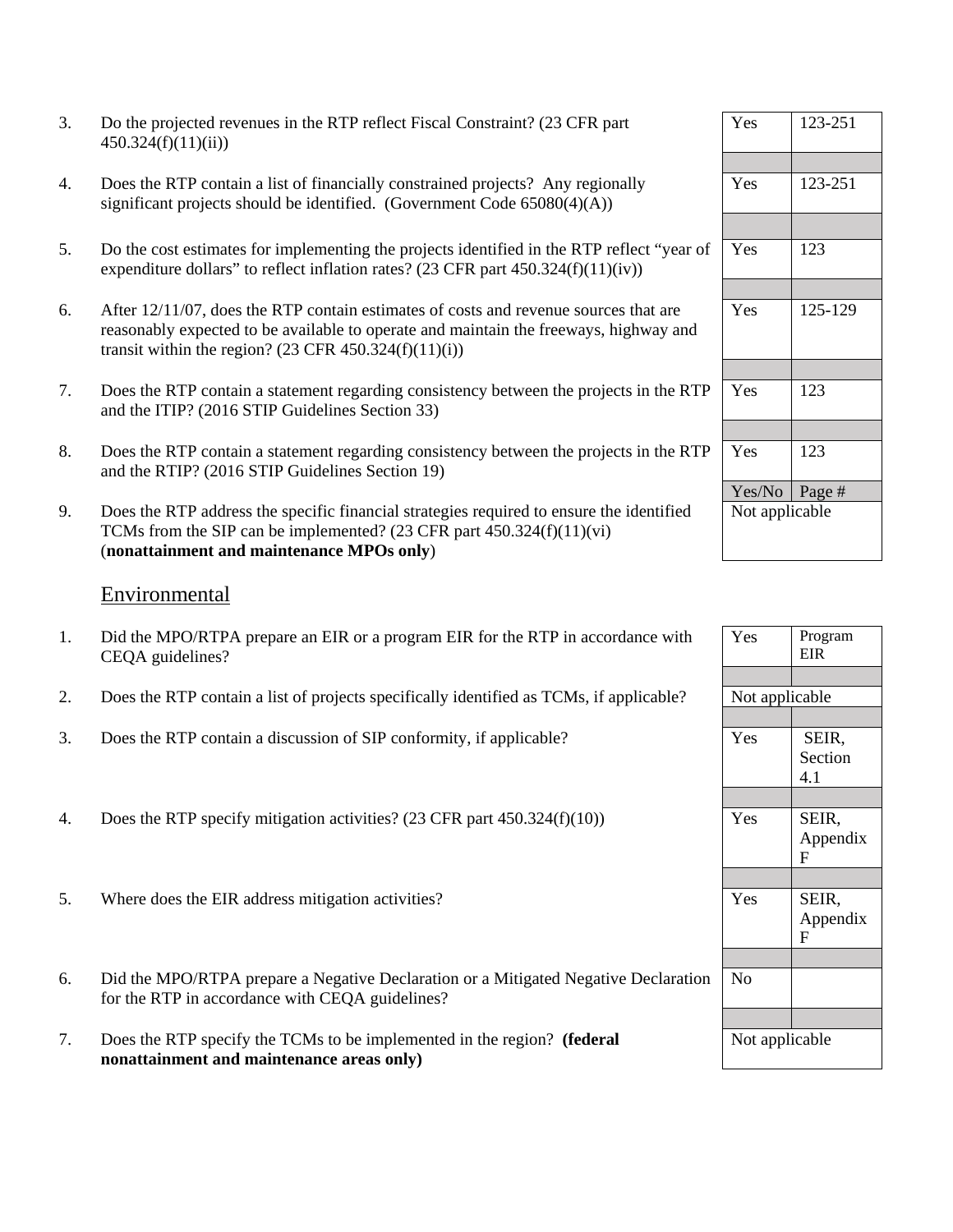| Do the projected revenues in the RTP reflect Fiscal Constraint? (23 CFR part |
|------------------------------------------------------------------------------|
| 450.324(f)(11)(ii)                                                           |

- 4. Does the RTP contain a list of financially constrained projects? Any regionally significant projects should be identified. (Government Code  $65080(4)(A)$ )
- 5. Do the cost estimates for implementing the projects identified in the RTP reflect "year of expenditure dollars" to reflect inflation rates?  $(23 \text{ CFR part } 450.324(f)(11)(iv))$
- 6. After 12/11/07, does the RTP contain estimates of costs and revenue sources that are reasonably expected to be available to operate and maintain the freeways, highway and transit within the region?  $(23 \text{ CFR } 450.324(f)(11)(i))$
- 7. Does the RTP contain a statement regarding consistency between the projects in the RTP and the ITIP? (2016 STIP Guidelines Section 33)
- 8. Does the RTP contain a statement regarding consistency between the projects in the RTP and the RTIP? (2016 STIP Guidelines Section 19)
- 9. Does the RTP address the specific financial strategies required to ensure the identified TCMs from the SIP can be implemented? (23 CFR part 450.324(f)(11)(vi) (**nonattainment and maintenance MPOs only**)

#### Environmental

- 1. Did the MPO/RTPA prepare an EIR or a program EIR for the RTP in accordance with CEQA guidelines?
- 2. Does the RTP contain a list of projects specifically identified as TCMs, if applicable?
- 3. Does the RTP contain a discussion of SIP conformity, if applicable?
- 4. Does the RTP specify mitigation activities? (23 CFR part  $450.324(f)(10)$ )
- 5. Where does the EIR address mitigation activities?
- 6. Did the MPO/RTPA prepare a Negative Declaration or a Mitigated Negative Declaration for the RTP in accordance with CEQA guidelines?
- 7. Does the RTP specify the TCMs to be implemented in the region? **(federal nonattainment and maintenance areas only)**

| Yes             | 123-251 |
|-----------------|---------|
|                 |         |
| Yes             | 123-251 |
|                 |         |
| Yes             | 123     |
|                 |         |
| Yes             | 125-129 |
|                 |         |
| Yes             | 123     |
|                 |         |
| Yes             | 123     |
| Yes/No   Page # |         |
| Not applicable  |         |

| Yes            | Program<br><b>EIR</b> |  |
|----------------|-----------------------|--|
|                |                       |  |
| Not applicable |                       |  |
|                |                       |  |
| Yes            | SEIR,                 |  |
|                | Section               |  |
|                | 4.1                   |  |
|                |                       |  |
| Yes            | SEIR,                 |  |
|                | Appendix              |  |
|                | F                     |  |
|                |                       |  |
| Yes            | SEIR,                 |  |
|                | Appendix              |  |
|                | F                     |  |
|                |                       |  |
| No             |                       |  |
|                |                       |  |
|                |                       |  |
| Not applicable |                       |  |